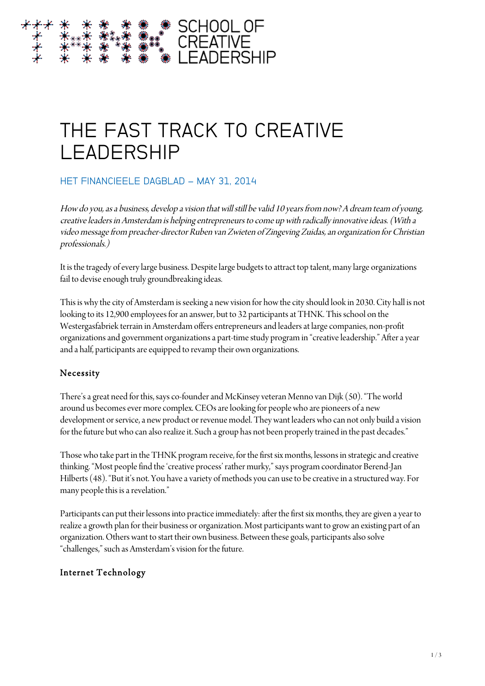# THE FAST TRACK TO CREATIVE LEADERSHIP

# HET FINANCIEELE DAGBLAD – MAY 31, 2014

How do you, as a business, develop a vision that will still be valid 10 years from now? A dream team of young, creative leaders in Amsterdam is helping entrepreneurs to come up with radically innovative ideas. (With a video message from preacher-director Ruben van Zwieten of Zingeving Zuidas, an organization for Christian professionals.)

It is the tragedy of every large business. Despite large budgets to attract top talent, many large organizations fail to devise enough truly groundbreaking ideas.

This is why the city of Amsterdam is seeking a new vision for how the city should look in 2030. City hall is not looking to its 12,900 employees for an answer, but to 32 participants at THNK. This school on the Westergasfabriek terrain in Amsterdam offers entrepreneurs and leadersat large companies, non-profit organizations and government organizations a part-time study program in "creative leadership." After a year and a half, participants are equipped to revamp their own organizations.

## Necessity

There's a great need for this, says co-founder and McKinsey veteran Menno van Dijk (50). "The world around us becomes ever more complex. CEOs are looking for people who are pioneers of a new development or service, a new product or revenue model. They want leaders who can not only build a vision for the future but who can also realize it. Such a group has not been properly trained in the past decades."

Those who take part in the THNK program receive, for the first six months, lessons in strategic and creative thinking. "Most people find the 'creative process' rather murky," says program coordinator Berend-Jan Hilberts (48). "But it's not. You have a variety of methods you can use to be creative in a structured way. For many people this is a revelation."

Participants can put their lessons into practice immediately: after the first six months, they are given a year to realize a growth plan for their business or organization. Most participants want to grow an existing part of an organization. Others want to start their own business. Between these goals, participants also solve "challenges," such as Amsterdam's vision for the future.

## Internet Technology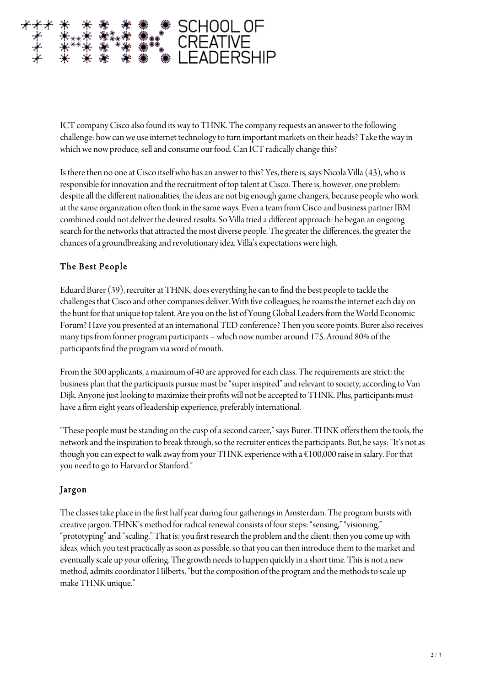

ICT company Cisco also found its way to THNK. The company requests an answer to the following challenge: how can we use internet technology to turn important markets on their heads? Take the way in which we now produce, sell and consume our food. Can ICT radically change this?

Is there then no one at Cisco itself who has an answer to this? Yes, there is, says Nicola Villa (43), who is responsible for innovation and the recruitment of top talent at Cisco. There is, however, one problem: despite all the different nationalities, the ideas are not big enough game changers, because people who work at the same organization often think in the same ways. Even a team from Cisco and business partner IBM combined could not deliver the desired results. So Villa tried a different approach: he began an ongoing search for the networks that attracted the most diverse people. The greater the differences, the greater the chances of a groundbreaking and revolutionary idea. Villa's expectations were high.

#### The Best People

Eduard Burer (39), recruiter at THNK, does everything he can to find the best people to tackle the challenges that Cisco and other companies deliver. With five colleagues, he roams the internet each day on the hunt for that unique top talent. Are you on the list of Young Global Leaders from the World Economic Forum? Have you presented at an international TED conference? Then you score points. Burer also receives many tips from former program participants – which now numberaround 175. Around 80% of the participants find the program via word of mouth.

From the 300 applicants, a maximum of 40 are approved for each class. The requirements are strict: the business plan that the participants pursue must be "super inspired"and relevant to society, according to Van Dijk. Anyone just looking to maximize their profits will not be accepted to THNK. Plus, participants must have a firm eight years of leadership experience, preferably international.

"These people must be standing on the cusp of a second career," says Burer. THNK offers them the tools, the network and the inspiration to break through, so the recruiter entices the participants. But, he says: "It's not as though you can expect to walk away from your THNK experience with a €100,000 raise in salary. For that you need to go to Harvard or Stanford."

#### Jargon

The classes take place in the first half year during four gatherings in Amsterdam. The program bursts with creative jargon. THNK's method for radical renewal consists of four steps: "sensing," "visioning," "prototyping" and "scaling." That is: you first research the problem and the client; then you come up with ideas, which you test practically as soon as possible, so that you can then introduce them to the market and eventually scale up your offering. The growth needs to happen quickly in a short time. This is not a new method, admits coordinator Hilberts, "but the composition of the program and the methods to scale up make THNK unique."